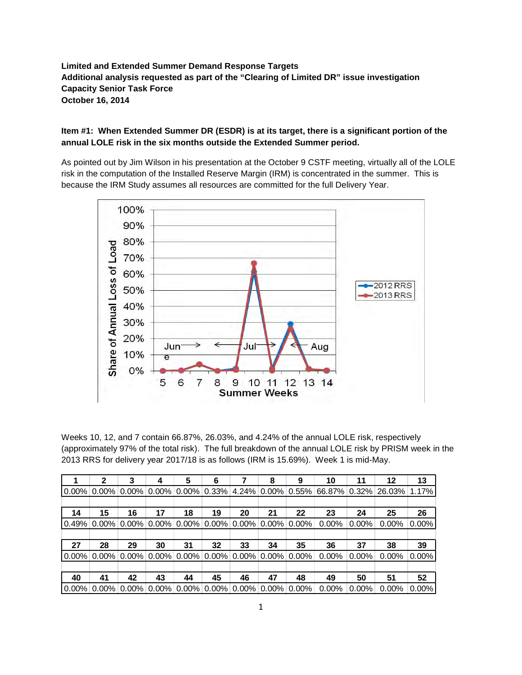**Limited and Extended Summer Demand Response Targets Additional analysis requested as part of the "Clearing of Limited DR" issue investigation Capacity Senior Task Force October 16, 2014**

## **Item #1: When Extended Summer DR (ESDR) is at its target, there is a significant portion of the annual LOLE risk in the six months outside the Extended Summer period.**

As pointed out by Jim Wilson in his presentation at the October 9 CSTF meeting, virtually all of the LOLE risk in the computation of the Installed Reserve Margin (IRM) is concentrated in the summer. This is because the IRM Study assumes all resources are committed for the full Delivery Year.



Weeks 10, 12, and 7 contain 66.87%, 26.03%, and 4.24% of the annual LOLE risk, respectively (approximately 97% of the total risk). The full breakdown of the annual LOLE risk by PRISM week in the 2013 RRS for delivery year 2017/18 is as follows (IRM is 15.69%). Week 1 is mid-May.

|       | 2  | 3                                                              | 4  | 5  | 6  |    | 8  | 9  | 10                                                                                                                        | 11       | 12       | 13       |
|-------|----|----------------------------------------------------------------|----|----|----|----|----|----|---------------------------------------------------------------------------------------------------------------------------|----------|----------|----------|
|       |    |                                                                |    |    |    |    |    |    | $\mid$ 0.00% $\mid$ 0.00% $\mid$ 0.00% $\mid$ 0.00% $\mid$ 0.00% $\mid$ 0.33% 4.24% 0.00% 0.55% 66.87% 0.32% 26.03% 1.17% |          |          |          |
|       |    |                                                                |    |    |    |    |    |    |                                                                                                                           |          |          |          |
| 14    | 15 | 16                                                             | 17 | 18 | 19 | 20 | 21 | 22 | 23                                                                                                                        | 24       | 25       | 26       |
| 0.49% |    | $0.00\%$ 0.00% 0.00% 0.00% 0.00% 0.00% 0.00% 0.00%             |    |    |    |    |    |    | $0.00\%$                                                                                                                  | $0.00\%$ | $0.00\%$ | $0.00\%$ |
|       |    |                                                                |    |    |    |    |    |    |                                                                                                                           |          |          |          |
| 27    | 28 | 29                                                             | 30 | 31 | 32 | 33 | 34 | 35 | 36                                                                                                                        | 37       | 38       | 39       |
|       |    | $0.00\%$ 0.00% 0.00% 0.00% 0.00% 0.00% 0.00% 0.00% 0.00%       |    |    |    |    |    |    | 0.00%                                                                                                                     | $0.00\%$ | $0.00\%$ | $0.00\%$ |
|       |    |                                                                |    |    |    |    |    |    |                                                                                                                           |          |          |          |
| 40    | 41 | 42                                                             | 43 | 44 | 45 | 46 | 47 | 48 | 49                                                                                                                        | 50       | 51       | 52       |
|       |    | $0.00\%$ 0.00% 0.00% 0.00% 0.00% 0.00% 0.00% 0.00% 0.00% 0.00% |    |    |    |    |    |    | $0.00\%$                                                                                                                  | $0.00\%$ | $0.00\%$ | $0.00\%$ |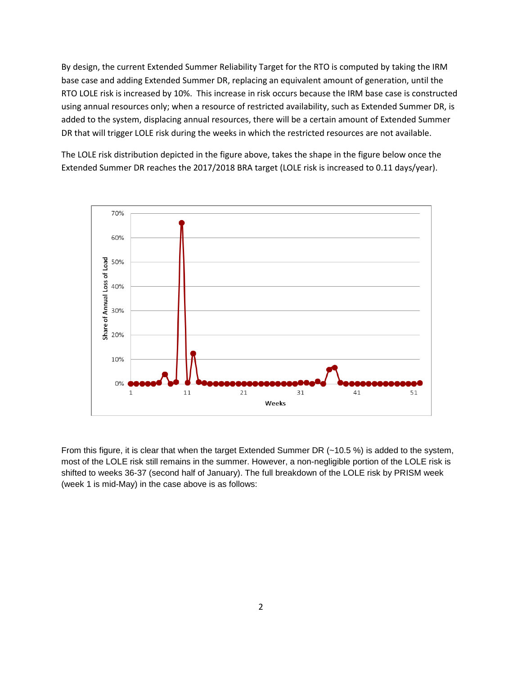By design, the current Extended Summer Reliability Target for the RTO is computed by taking the IRM base case and adding Extended Summer DR, replacing an equivalent amount of generation, until the RTO LOLE risk is increased by 10%. This increase in risk occurs because the IRM base case is constructed using annual resources only; when a resource of restricted availability, such as Extended Summer DR, is added to the system, displacing annual resources, there will be a certain amount of Extended Summer DR that will trigger LOLE risk during the weeks in which the restricted resources are not available.

The LOLE risk distribution depicted in the figure above, takes the shape in the figure below once the Extended Summer DR reaches the 2017/2018 BRA target (LOLE risk is increased to 0.11 days/year).



From this figure, it is clear that when the target Extended Summer DR (~10.5 %) is added to the system, most of the LOLE risk still remains in the summer. However, a non-negligible portion of the LOLE risk is shifted to weeks 36-37 (second half of January). The full breakdown of the LOLE risk by PRISM week (week 1 is mid-May) in the case above is as follows: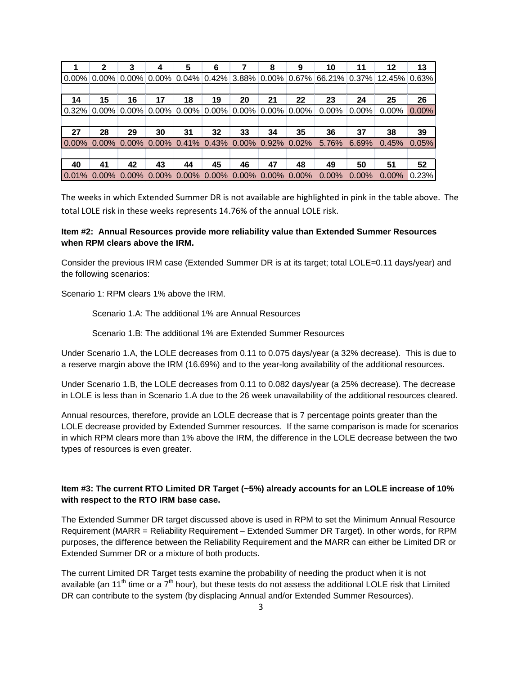|          | 2  | 3                                                                                | 4  | 5  | 6  |    | 8  | 9  | 10                                                                                            | 11       | 12       | 13       |
|----------|----|----------------------------------------------------------------------------------|----|----|----|----|----|----|-----------------------------------------------------------------------------------------------|----------|----------|----------|
|          |    |                                                                                  |    |    |    |    |    |    | $\mid$ 0.00% 0.00% 0.00% 0.00% 0.04% 0.42% 3.88% 0.00% 0.67% 66.21% 0.37% 12.45% 0.63% $\mid$ |          |          |          |
|          |    |                                                                                  |    |    |    |    |    |    |                                                                                               |          |          |          |
| 14       | 15 | 16                                                                               | 17 | 18 | 19 | 20 | 21 | 22 | 23                                                                                            | 24       | 25       | 26       |
| $0.32\%$ |    | $0.00\%$ $0.00\%$ $0.00\%$ $0.00\%$ $0.00\%$ $0.00\%$ $0.00\%$ $0.00\%$ $0.00\%$ |    |    |    |    |    |    | 0.00%                                                                                         | $0.00\%$ | $0.00\%$ | $0.00\%$ |
|          |    |                                                                                  |    |    |    |    |    |    |                                                                                               |          |          |          |
| 27       | 28 | 29                                                                               | 30 | 31 | 32 | 33 | 34 | 35 | 36                                                                                            | 37       | 38       | 39       |
|          |    |                                                                                  |    |    |    |    |    |    | $\vert 0.00\%$ 0.00% 0.00% 0.00% 0.41% 0.43% 0.00% 0.92% 0.02% 5.76%                          | 6.69%    | 0.45%    | 0.05%    |
|          |    |                                                                                  |    |    |    |    |    |    |                                                                                               |          |          |          |
| 40       | 41 | 42                                                                               | 43 | 44 | 45 | 46 | 47 | 48 | 49                                                                                            | 50       | 51       | 52       |
|          |    |                                                                                  |    |    |    |    |    |    | $10.01\%$ 0.00% 0.00% 0.00% 0.00% 0.00% 0.00% 0.00% 0.00% 0.00%                               | $0.00\%$ | $0.00\%$ | 0.23%    |

The weeks in which Extended Summer DR is not available are highlighted in pink in the table above. The total LOLE risk in these weeks represents 14.76% of the annual LOLE risk.

## **Item #2: Annual Resources provide more reliability value than Extended Summer Resources when RPM clears above the IRM.**

Consider the previous IRM case (Extended Summer DR is at its target; total LOLE=0.11 days/year) and the following scenarios:

Scenario 1: RPM clears 1% above the IRM.

Scenario 1.A: The additional 1% are Annual Resources

Scenario 1.B: The additional 1% are Extended Summer Resources

Under Scenario 1.A, the LOLE decreases from 0.11 to 0.075 days/year (a 32% decrease). This is due to a reserve margin above the IRM (16.69%) and to the year-long availability of the additional resources.

Under Scenario 1.B, the LOLE decreases from 0.11 to 0.082 days/year (a 25% decrease). The decrease in LOLE is less than in Scenario 1.A due to the 26 week unavailability of the additional resources cleared.

Annual resources, therefore, provide an LOLE decrease that is 7 percentage points greater than the LOLE decrease provided by Extended Summer resources. If the same comparison is made for scenarios in which RPM clears more than 1% above the IRM, the difference in the LOLE decrease between the two types of resources is even greater.

## **Item #3: The current RTO Limited DR Target (~5%) already accounts for an LOLE increase of 10% with respect to the RTO IRM base case.**

The Extended Summer DR target discussed above is used in RPM to set the Minimum Annual Resource Requirement (MARR = Reliability Requirement – Extended Summer DR Target). In other words, for RPM purposes, the difference between the Reliability Requirement and the MARR can either be Limited DR or Extended Summer DR or a mixture of both products.

The current Limited DR Target tests examine the probability of needing the product when it is not available (an 11<sup>th</sup> time or a  $7<sup>th</sup>$  hour), but these tests do not assess the additional LOLE risk that Limited DR can contribute to the system (by displacing Annual and/or Extended Summer Resources).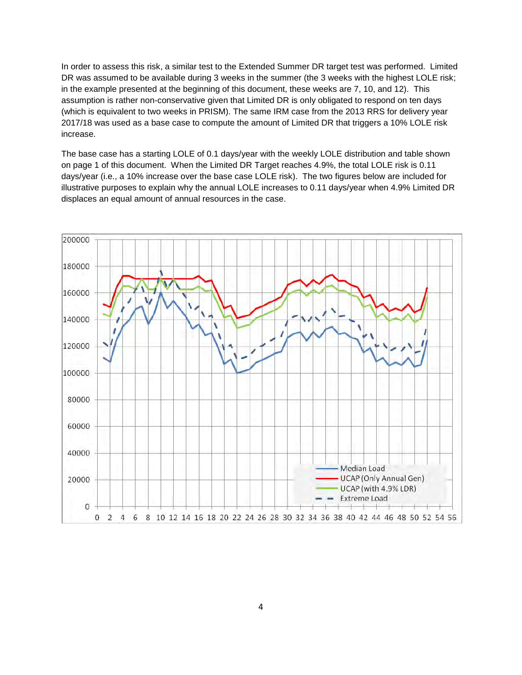In order to assess this risk, a similar test to the Extended Summer DR target test was performed. Limited DR was assumed to be available during 3 weeks in the summer (the 3 weeks with the highest LOLE risk; in the example presented at the beginning of this document, these weeks are 7, 10, and 12). This assumption is rather non-conservative given that Limited DR is only obligated to respond on ten days (which is equivalent to two weeks in PRISM). The same IRM case from the 2013 RRS for delivery year 2017/18 was used as a base case to compute the amount of Limited DR that triggers a 10% LOLE risk increase.

The base case has a starting LOLE of 0.1 days/year with the weekly LOLE distribution and table shown on page 1 of this document. When the Limited DR Target reaches 4.9%, the total LOLE risk is 0.11 days/year (i.e., a 10% increase over the base case LOLE risk). The two figures below are included for illustrative purposes to explain why the annual LOLE increases to 0.11 days/year when 4.9% Limited DR displaces an equal amount of annual resources in the case.

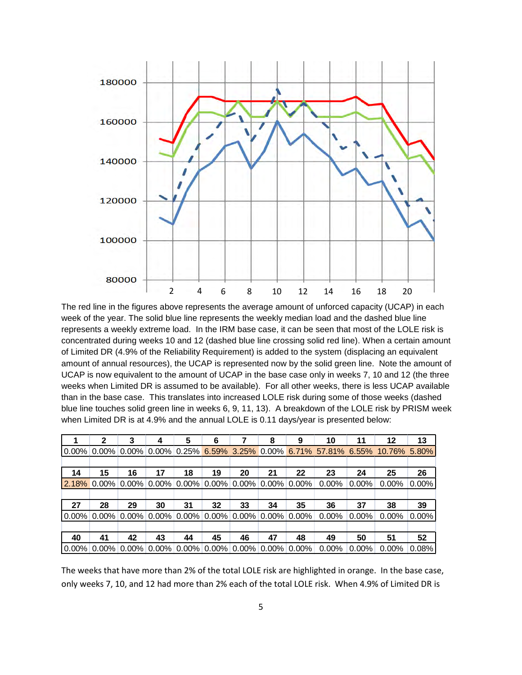

The red line in the figures above represents the average amount of unforced capacity (UCAP) in each week of the year. The solid blue line represents the weekly median load and the dashed blue line represents a weekly extreme load. In the IRM base case, it can be seen that most of the LOLE risk is concentrated during weeks 10 and 12 (dashed blue line crossing solid red line). When a certain amount of Limited DR (4.9% of the Reliability Requirement) is added to the system (displacing an equivalent amount of annual resources), the UCAP is represented now by the solid green line. Note the amount of UCAP is now equivalent to the amount of UCAP in the base case only in weeks 7, 10 and 12 (the three weeks when Limited DR is assumed to be available). For all other weeks, there is less UCAP available than in the base case. This translates into increased LOLE risk during some of those weeks (dashed blue line touches solid green line in weeks 6, 9, 11, 13). A breakdown of the LOLE risk by PRISM week when Limited DR is at 4.9% and the annual LOLE is 0.11 days/year is presented below:

|          | $\mathbf{2}$ | 3                                                        |    | 5  | 6  |    | 8  | 9  | 10                                                                           | 11       | $12 \,$  | 13       |
|----------|--------------|----------------------------------------------------------|----|----|----|----|----|----|------------------------------------------------------------------------------|----------|----------|----------|
| $0.00\%$ |              |                                                          |    |    |    |    |    |    | $0.00\%$ 0.00% 0.00% 0.25% 6.59% 3.25% 0.00% 6.71% 57.81% 6.55% 10.76% 5.80% |          |          |          |
|          |              |                                                          |    |    |    |    |    |    |                                                                              |          |          |          |
| 14       | 15           | 16                                                       | 17 | 18 | 19 | 20 | 21 | 22 | 23                                                                           | 24       | 25       | 26       |
|          |              |                                                          |    |    |    |    |    |    | $\vert 2.18\%$ 0.00% 0.00% 0.00% 0.00% 0.00% 0.00% 0.00% 0.00% 0.00%         | $0.00\%$ | $0.00\%$ | $0.00\%$ |
|          |              |                                                          |    |    |    |    |    |    |                                                                              |          |          |          |
| 27       | 28           | 29                                                       | 30 | 31 | 32 | 33 | 34 | 35 | 36                                                                           | 37       | 38       | 39       |
|          |              |                                                          |    |    |    |    |    |    | $0.00\%$ 0.00% 0.00% 0.00% 0.00% 0.00% 0.00% 0.00% 0.00% 0.00%               | $0.00\%$ | $0.00\%$ | $0.00\%$ |
|          |              |                                                          |    |    |    |    |    |    |                                                                              |          |          |          |
| 40       | 41           | 42                                                       | 43 | 44 | 45 | 46 | 47 | 48 | 49                                                                           | 50       | 51       | 52       |
|          |              | $0.00\%$ 0.00% 0.00% 0.00% 0.00% 0.00% 0.00% 0.00% 0.00% |    |    |    |    |    |    | $0.00\%$                                                                     | $0.00\%$ | $0.00\%$ | 0.08%    |

The weeks that have more than 2% of the total LOLE risk are highlighted in orange. In the base case, only weeks 7, 10, and 12 had more than 2% each of the total LOLE risk. When 4.9% of Limited DR is